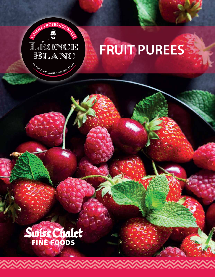

## **FRUIT PUREES**

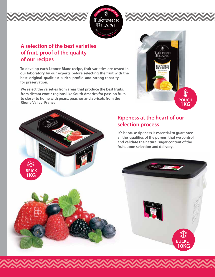



## **A selection of the best varieties of fruit, proof of the quality of our recipes**

**To develop each Léonce Blanc recipe, fruit varieties are tested in our laboratory by our experts before selecting the fruit with the best original qualities: a rich profile and strong capacity for preservation.**

**We select the varieties from areas that produce the best fruits, from distant exotic regions like South America for passion fruit, to closer to home with pears, peaches and apricots from the Rhone Valley, France.**





## **Ripeness at the heart of our selection process**

**It's because ripeness is essential to guarantee all the qualities of the purees, that we control and validate the natural sugar content of the fruit, upon selection and delivery.** 

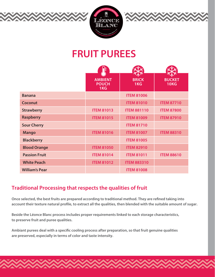





|                       | F                                     |                     |                              |
|-----------------------|---------------------------------------|---------------------|------------------------------|
|                       | <b>AMBIENT</b><br><b>POUCH</b><br>1KG | <b>BRICK</b><br>1KG | <b>BUCKET</b><br><b>10KG</b> |
| <b>Banana</b>         |                                       | <b>ITEM 81006</b>   |                              |
| <b>Coconut</b>        |                                       | <b>ITEM 81010</b>   | <b>ITEM 87710</b>            |
| <b>Strawberry</b>     | <b>ITEM 81013</b>                     | <b>ITEM 881110</b>  | <b>ITEM 87800</b>            |
| <b>Raspberry</b>      | <b>ITEM 81015</b>                     | <b>ITEM 81009</b>   | <b>ITEM 87910</b>            |
| <b>Sour Cherry</b>    |                                       | <b>ITEM 81710</b>   |                              |
| <b>Mango</b>          | <b>ITEM 81016</b>                     | <b>ITEM 81007</b>   | <b>ITEM 88310</b>            |
| <b>Blackberry</b>     |                                       | <b>ITEM 81005</b>   |                              |
| <b>Blood Orange</b>   | <b>ITEM 81050</b>                     | <b>ITEM 82910</b>   |                              |
| <b>Passion Fruit</b>  | <b>ITEM 81014</b>                     | <b>ITEM 81011</b>   | <b>ITEM 88610</b>            |
| <b>White Peach</b>    | <b>ITEM 81012</b>                     | <b>ITEM 883310</b>  |                              |
| <b>William's Pear</b> |                                       | <b>ITEM 81008</b>   |                              |

## **Traditional Processing that respects the qualities of fruit**

Once selected, the best fruits are prepared according to traditional method. They are refined taking into account their texture natural profile, to extract all the qualities, then blended with the suitable amount of sugar.

**Beside the Léonce Blanc process includes proper requirements linked to each storage characteristics, to preserve fruit and puree qualities.**

Ambiant purees deal with a specific cooling process after preparation, so that fruit genuine qualities **are preserved, especially in terms of color and taste intensity.**